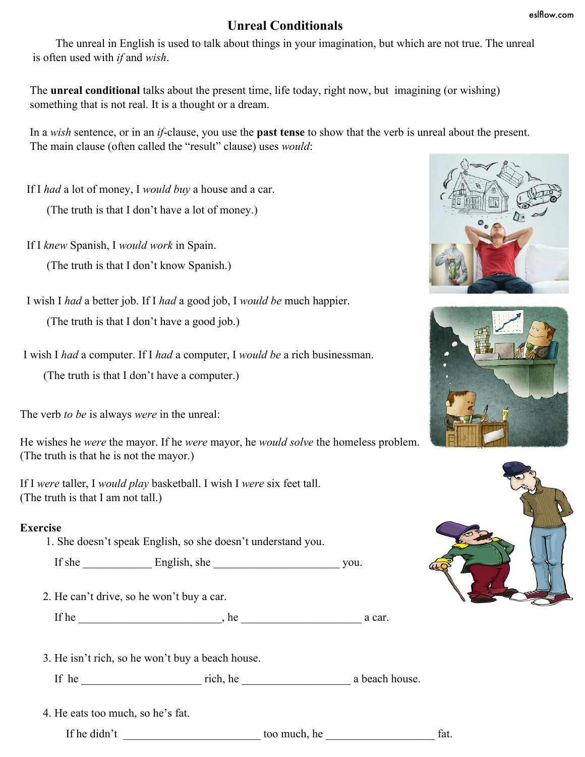## **Unreal Conditionals**

 The unreal in English is used to talk about things in your imagination, but which are not true. The unreal is often used with *if* and *wish*.

The **unreal conditional** talks about the present time, life today, right now, but imagining (or wishing) something that is not real. It is a thought or a dream.

In a *wish* sentence, or in an *if*-clause, you use the **past tense** to show that the verb is unreal about the present. The main clause (often called the "result" clause) uses *would*:

If I *had* a lot of money, I *would buy* a house and a car.

(The truth is that I don't have a lot of money.)

If I *knew* Spanish, I *would work* in Spain.

(The truth is that I don't know Spanish.)

I wish I *had* a better job. If I *had* a good job, I *would be* much happier.

(The truth is that I don't have a good job.)

I wish I *had* a computer. If I *had* a computer, I *would be* a rich businessman.

(The truth is that I don't have a computer.)

The verb *to be* is always *were* in the unreal:

He wishes he *were* the mayor. If he *were* mayor, he *would solve* the homeless problem. (The truth is that he is not the mayor.)

If I *were* taller, I *would play* basketball. I wish I *were* six feet tall. (The truth is that I am not tall.)

## **Exercise**

1. She doesn't speak English, so she doesn't understand you.

If she English, she you.

2. He can't drive, so he won't buy a car.

If he  $\_\_\_\_\_\$  he  $\_\_\_\_\_\_\$  a car.

3. He isn't rich, so he won't buy a beach house.

If he \_\_\_\_\_\_\_\_\_\_\_\_\_\_\_\_\_\_\_\_\_ rich, he \_\_\_\_\_\_\_\_\_\_\_\_\_\_\_\_\_\_\_ a beach house.

4. He eats too much, so he's fat.